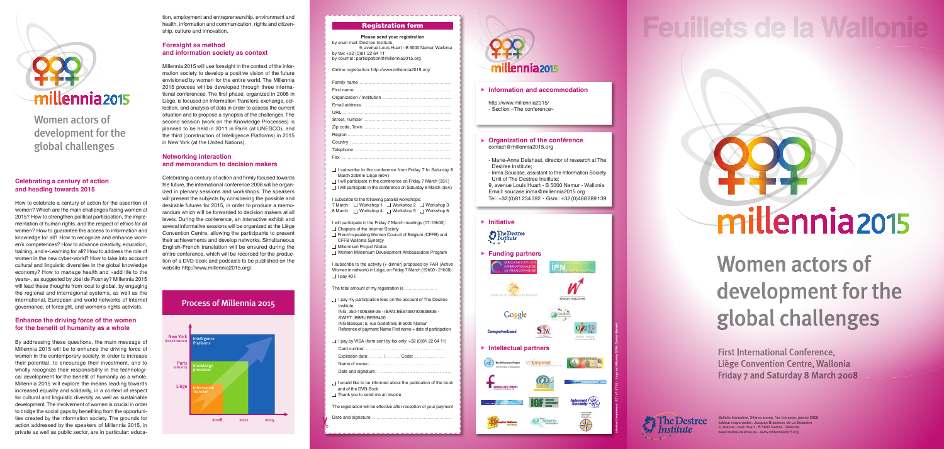First International Conference, Liège Convention Centre, Wallonia Friday 7 and Saturday 8 March 2008



## **Feuillets de la Wallonie**

# millennia 2015

#### **Celebrating a century of action and heading towards 2015**

How to celebrate a century of action for the assertion of women? Which are the main challenges facing women at 2015? How to strengthen political participation, the implementation of human rights, and the respect of ethics for all women? How to guarantee the access to information and knowledge for all? How to recognize and enhance women's competences? How to advance creativity, education, training, and e-Learning for all? How to address the role of women in the new cyber-world? How to take into account cultural and linguistic diversities in the global knowledge economy? How to manage health and «add life to the years», as suggested by Joel de Rosnay? Millennia 2015 will lead these thoughts from local to global, by engaging the regional and interregional systems, as well as the international, European and world networks of Internet governance, of foresight, and women's rights activists.

#### **Enhance the driving force of the women for the benefit of humanity as a whole**

By addressing these questions, the main message of Millennia 2015 will be to enhance the driving force of women in the contemporary society, in order to increase their potential, to encourage their investment, and to wholly recognize their responsibility in the technological development for the benefit of humanity as a whole. Millennia 2015 will explore the means leading towards increased equality and solidarity, in a context of respect for cultural and linguistic diversity as well as sustainable development. The involvement of women is crucial in order to bridge the social gaps by benefiting from the opportunities created by the information society. The grounds for action addressed by the speakers of Millennia 2015, in private as well as public sector, are in particular: educaJ.Bonivert Imprimeur - 071 41 27 02 – Logo de Millennia 2015 : Xavier Warrant

http://www.millennia2015/ - Section «The conference»

✂



#### ▶ Information and accommodation

tion, employment and entrepreneurship, environment and health, information and communication, rights and citizenship, culture and innovation.

#### **Foresight as method and information society as context**

Millennia 2015 will use foresight in the context of the information society to develop a positive vision of the future envisioned by women for the entire world. The Millennia 2015 process will be developed through three international conferences. The first phase, organized in 2008 in Liège, is focused on Information Transfers: exchange, collection, and analysis of data in order to assess the current situation and to propose a synopsis of the challenges. The second session (work on the Knowledge Processes) is planned to be held in 2011 in Paris (at UNESCO), and the third (construction of Intelligence Platforms) in 2015 in New York (at the United Nations).

#### **Networking interaction and memorandum to decision makers**

 $\Box$  I pay my participation fees on the account of The Destree Institute ING : 350-1006388-35 - IBAN: BE57350100638835 - SWIFT : BBRUBEBB400 ING Banque : 5, rue Godefroid, B 5000 Namur

Celebrating a century of action and firmly focused towards the future, the international conference 2008 will be organized in plenary sessions and workshops. The speakers will present the subjects by considering the possible and desirable futures for 2015, in order to produce a memorandum which will be forwarded to decision makers at all levels. During the conference, an interactive exhibit and several informative sessions will be organized at the Liège Convention Centre, allowing the participants to present their achievements and develop networks. Simultaneous English-French translation will be ensured during the entire conference, which will be recorded for the production of a DVD-book and podcasts to be published on the website http://www.millennia2015.org/.

- ■I would like to be informed about the publication of the book and of the DVD-Book
- □ Thank you to send me an invoice

#### ▶ Organization of the conférence contact@millennia2015.org



Women actors of development for the global challenges

> Women actors of development for the global challenges

Bulletin trimestriel, 34ème année, 1er trimestre, janvier 2008 Editeur responsable : Jacques Brassinne de La Buissière 9, avenue Louis Huart - B 5000 Namur - Wallonie www.institut-destree.eu - www.millennia2015.org

#### Registration form

#### **Please send your registration**

by snail mail: Destree Institute, 9, avenue Louis Huart - B 5000 Namur, Wallonia by fax: +32 (0)81 22 64 11 by courriel : participation@millennia2015.org

Online registration: http://www.millennia2015.org/

- □ **I** subscribe to the conference from Friday 7 to Saturday 8 March 2008 in Liège (60 $\epsilon$ )  $\Box$  I will participate in the conference on Friday 7 March (35 $\epsilon$ )
- $\Box$  I will participate in the conference on Saturday 8 March (35 $\epsilon$ )

#### I subscribe to the following parallel workshops:

|          | 7 March: □ Workshop 1 | $\Box$ Workshop 2 | $\Box$ Workshop 3 |
|----------|-----------------------|-------------------|-------------------|
| 8 March: | $\Box$ Workshop 4     | $\Box$ Workshop 5 | ∃ Workshop 6      |

I will participate in the Friday 7 March meetings (17-19h00) :

- □ Chapters of the Internet Society
- □ French-speaking Women Council of Belgium (CFFB) and CFFB Wallonia Synergy
- □ Millennium Project Nodes
- **Women Millennium Development Ambassadors Program**

I subscribe to the activity (+ dinner) proposed by FAR (Active Women in network) in Liège, on Friday 7 March (19h00 - 21h00) : ■I pay 40 €

The total amount of my registration is

Reference of payment: Name First name + date of participation

 $\Box$  I pay by VISA (form sent by fax only: +32 (0)81 22 64 11)

| Expiration date:  /  Code: |
|----------------------------|
|                            |
|                            |

The registration will be effective after reception of your payment

Date and signature

- Marie-Anne Delahaut, director of research at The Destree Institute;
- Inma Soucase, assistant to the Information Society Unit of The Destree Institute;
- 9, avenue Louis Huart B 5000 Namur Wallonia Email: soucase.inma@millennia2015.org Tel. +32 (0)81 234 392 - Gsm : +32 (0)488 289 139

#### **E** Initiative